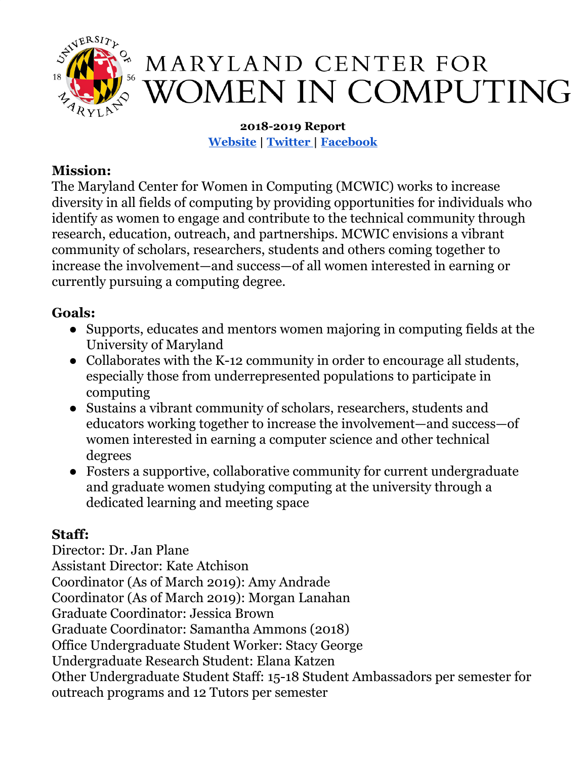

**2018-2019 Report [Website](http://mcwic.cs.umd.edu/) | [Twitter |](https://twitter.com/MCWIC_UMD) [Facebook](https://www.facebook.com/marylandwomencomputing/)**

## **Mission:**

The Maryland Center for Women in Computing (MCWIC) works to increase diversity in all fields of computing by providing opportunities for individuals who identify as women to engage and contribute to the technical community through research, education, outreach, and partnerships. MCWIC envisions a vibrant community of scholars, researchers, students and others coming together to increase the involvement—and success—of all women interested in earning or currently pursuing a computing degree.

# **Goals:**

- Supports, educates and mentors women majoring in computing fields at the University of Maryland
- Collaborates with the K-12 community in order to encourage all students, especially those from underrepresented populations to participate in computing
- Sustains a vibrant community of scholars, researchers, students and educators working together to increase the involvement—and success—of women interested in earning a computer science and other technical degrees
- Fosters a supportive, collaborative community for current undergraduate and graduate women studying computing at the university through a dedicated learning and meeting space

# **Staff:**

Director: Dr. Jan Plane Assistant Director: Kate Atchison Coordinator (As of March 2019): Amy Andrade Coordinator (As of March 2019): Morgan Lanahan Graduate Coordinator: Jessica Brown Graduate Coordinator: Samantha Ammons (2018) Office Undergraduate Student Worker: Stacy George Undergraduate Research Student: Elana Katzen Other Undergraduate Student Staff: 15-18 Student Ambassadors per semester for outreach programs and 12 Tutors per semester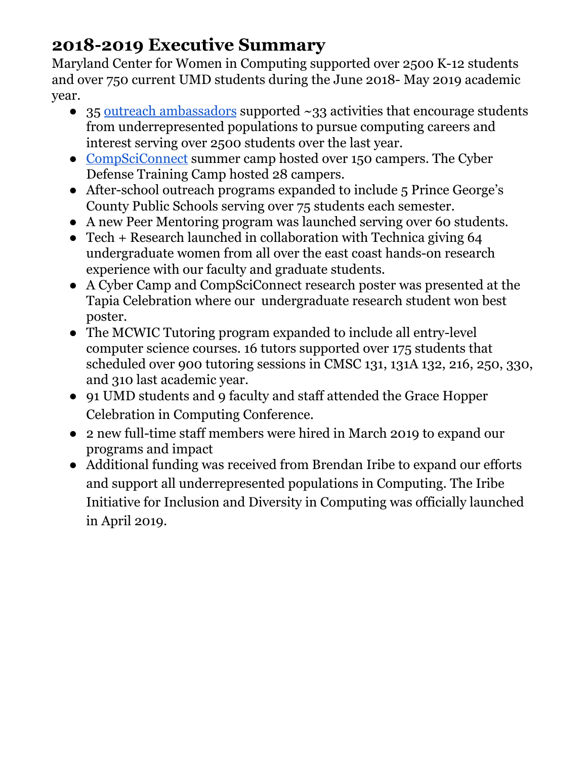# **2018-2019 Executive Summary**

Maryland Center for Women in Computing supported over 2500 K-12 students and over 750 current UMD students during the June 2018- May 2019 academic year.

- 35 outreach [ambassadors](https://mcwic.cs.umd.edu/programs/#professional) supported ~33 activities that encourage students from underrepresented populations to pursue computing careers and interest serving over 2500 students over the last year.
- [CompSciConnect](https://mcwic.cs.umd.edu/csc) summer camp hosted over 150 campers. The Cyber Defense Training Camp hosted 28 campers.
- After-school outreach programs expanded to include 5 Prince George's County Public Schools serving over 75 students each semester.
- A new Peer Mentoring program was launched serving over 60 students.
- Tech + Research launched in collaboration with Technica giving 64 undergraduate women from all over the east coast hands-on research experience with our faculty and graduate students.
- A Cyber Camp and CompSciConnect research poster was presented at the Tapia Celebration where our undergraduate research student won best poster.
- The MCWIC Tutoring program expanded to include all entry-level computer science courses. 16 tutors supported over 175 students that scheduled over 900 tutoring sessions in CMSC 131, 131A 132, 216, 250, 330, and 310 last academic year.
- 91 UMD students and 9 faculty and staff attended the Grace Hopper Celebration in Computing Conference.
- 2 new full-time staff members were hired in March 2019 to expand our programs and impact
- Additional funding was received from Brendan Iribe to expand our efforts and support all underrepresented populations in Computing. The Iribe Initiative for Inclusion and Diversity in Computing was officially launched in April 2019.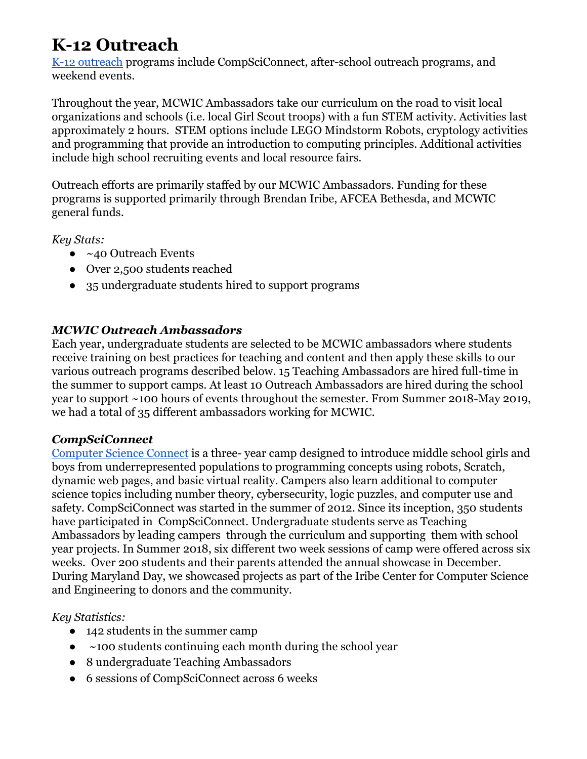# **K-12 Outreach**

[K-12 outreach](http://mcwic.cs.umd.edu/programs#outreach) programs include CompSciConnect, after-school outreach programs, and weekend events.

Throughout the year, MCWIC Ambassadors take our curriculum on the road to visit local organizations and schools (i.e. local Girl Scout troops) with a fun STEM activity. Activities last approximately 2 hours. STEM options include LEGO Mindstorm Robots, cryptology activities and programming that provide an introduction to computing principles. Additional activities include high school recruiting events and local resource fairs.

Outreach efforts are primarily staffed by our MCWIC Ambassadors. Funding for these programs is supported primarily through Brendan Iribe, AFCEA Bethesda, and MCWIC general funds.

*Key Stats:*

- $\bullet$  ~40 Outreach Events
- Over 2,500 students reached
- 35 undergraduate students hired to support programs

#### *MCWIC Outreach Ambassadors*

Each year, undergraduate students are selected to be MCWIC ambassadors where students receive training on best practices for teaching and content and then apply these skills to our various outreach programs described below. 15 Teaching Ambassadors are hired full-time in the summer to support camps. At least 10 Outreach Ambassadors are hired during the school year to support ~100 hours of events throughout the semester. From Summer 2018-May 2019, we had a total of 35 different ambassadors working for MCWIC.

#### *CompSciConnect*

[Computer Science Connect](https://mcwic.cs.umd.edu/csc) is a three- year camp designed to introduce middle school girls and boys from underrepresented populations to programming concepts using robots, Scratch, dynamic web pages, and basic virtual reality. Campers also learn additional to computer science topics including number theory, cybersecurity, logic puzzles, and computer use and safety. CompSciConnect was started in the summer of 2012. Since its inception, 350 students have participated in CompSciConnect. Undergraduate students serve as Teaching Ambassadors by leading campers through the curriculum and supporting them with school year projects. In Summer 2018, six different two week sessions of camp were offered across six weeks. Over 200 students and their parents attended the annual showcase in December. During Maryland Day, we showcased projects as part of the Iribe Center for Computer Science and Engineering to donors and the community.

#### *Key Statistics:*

- 142 students in the summer camp
- $\bullet$  ~100 students continuing each month during the school year
- 8 undergraduate Teaching Ambassadors
- 6 sessions of CompSciConnect across 6 weeks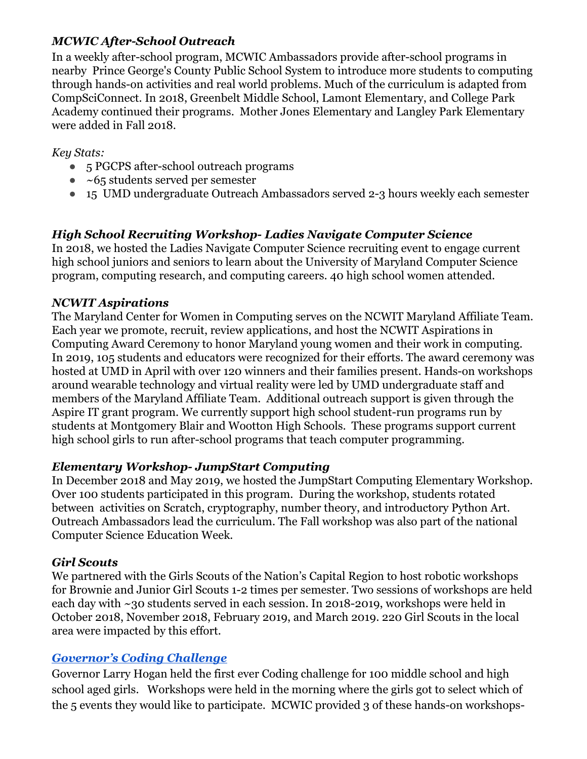#### *MCWIC After-School Outreach*

In a weekly after-school program, MCWIC Ambassadors provide after-school programs in nearby Prince George's County Public School System to introduce more students to computing through hands-on activities and real world problems. Much of the curriculum is adapted from CompSciConnect. In 2018, Greenbelt Middle School, Lamont Elementary, and College Park Academy continued their programs. Mother Jones Elementary and Langley Park Elementary were added in Fall 2018.

#### *Key Stats:*

- 5 PGCPS after-school outreach programs
- $\bullet$  ~65 students served per semester
- 15 UMD undergraduate Outreach Ambassadors served 2-3 hours weekly each semester

## *High School Recruiting Workshop- Ladies Navigate Computer Science*

In 2018, we hosted the Ladies Navigate Computer Science recruiting event to engage current high school juniors and seniors to learn about the University of Maryland Computer Science program, computing research, and computing careers. 40 high school women attended.

#### *NCWIT Aspirations*

The Maryland Center for Women in Computing serves on the NCWIT Maryland Affiliate Team. Each year we promote, recruit, review applications, and host the NCWIT Aspirations in Computing Award Ceremony to honor Maryland young women and their work in computing. In 2019, 105 students and educators were recognized for their efforts. The award ceremony was hosted at UMD in April with over 120 winners and their families present. Hands-on workshops around wearable technology and virtual reality were led by UMD undergraduate staff and members of the Maryland Affiliate Team. Additional outreach support is given through the Aspire IT grant program. We currently support high school student-run programs run by students at Montgomery Blair and Wootton High Schools. These programs support current high school girls to run after-school programs that teach computer programming.

#### *Elementary Workshop- JumpStart Computing*

In December 2018 and May 2019, we hosted the JumpStart Computing Elementary Workshop. Over 100 students participated in this program. During the workshop, students rotated between activities on Scratch, cryptography, number theory, and introductory Python Art. Outreach Ambassadors lead the curriculum. The Fall workshop was also part of the national Computer Science Education Week.

## *Girl Scouts*

We partnered with the Girls Scouts of the Nation's Capital Region to host robotic workshops for Brownie and Junior Girl Scouts 1-2 times per semester. Two sessions of workshops are held each day with ~30 students served in each session. In 2018-2019, workshops were held in October 2018, November 2018, February 2019, and March 2019. 220 Girl Scouts in the local area were impacted by this effort.

## *[Governor's Coding Challenge](https://governor.maryland.gov/2018/10/07/governor-larry-hogan-holds-first-ever-governors-coding-challenge/)*

Governor Larry Hogan held the first ever Coding challenge for 100 middle school and high school aged girls. Workshops were held in the morning where the girls got to select which of the 5 events they would like to participate. MCWIC provided 3 of these hands-on workshops-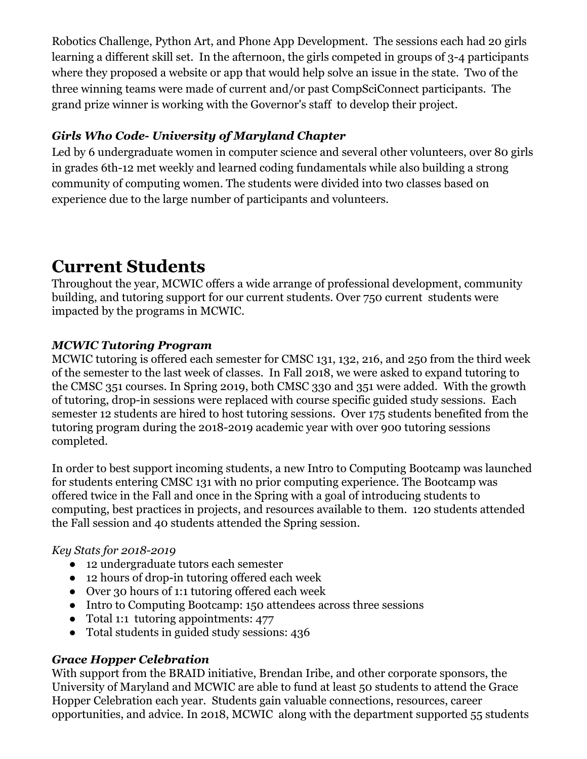Robotics Challenge, Python Art, and Phone App Development. The sessions each had 20 girls learning a different skill set. In the afternoon, the girls competed in groups of 3-4 participants where they proposed a website or app that would help solve an issue in the state. Two of the three winning teams were made of current and/or past CompSciConnect participants. The grand prize winner is working with the Governor's staff to develop their project.

## *Girls Who Code- University of Maryland Chapter*

Led by 6 undergraduate women in computer science and several other volunteers, over 80 girls in grades 6th-12 met weekly and learned coding fundamentals while also building a strong community of computing women. The students were divided into two classes based on experience due to the large number of participants and volunteers.

# **Current Students**

Throughout the year, MCWIC offers a wide arrange of professional development, community building, and tutoring support for our current students. Over 750 current students were impacted by the programs in MCWIC.

### *MCWIC Tutoring Program*

MCWIC tutoring is offered each semester for CMSC 131, 132, 216, and 250 from the third week of the semester to the last week of classes. In Fall 2018, we were asked to expand tutoring to the CMSC 351 courses. In Spring 2019, both CMSC 330 and 351 were added. With the growth of tutoring, drop-in sessions were replaced with course specific guided study sessions. Each semester 12 students are hired to host tutoring sessions. Over 175 students benefited from the tutoring program during the 2018-2019 academic year with over 900 tutoring sessions completed.

In order to best support incoming students, a new Intro to Computing Bootcamp was launched for students entering CMSC 131 with no prior computing experience. The Bootcamp was offered twice in the Fall and once in the Spring with a goal of introducing students to computing, best practices in projects, and resources available to them. 120 students attended the Fall session and 40 students attended the Spring session.

#### *Key Stats for 2018-2019*

- *●* 12 undergraduate tutors each semester
- 12 hours of drop-in tutoring offered each week
- Over 30 hours of 1:1 tutoring offered each week
- Intro to Computing Bootcamp: 150 attendees across three sessions
- Total 1:1 tutoring appointments: 477
- Total students in guided study sessions: 436

## *Grace Hopper Celebration*

With support from the BRAID initiative, Brendan Iribe, and other corporate sponsors, the University of Maryland and MCWIC are able to fund at least 50 students to attend the Grace Hopper Celebration each year. Students gain valuable connections, resources, career opportunities, and advice. In 2018, MCWIC along with the department supported 55 students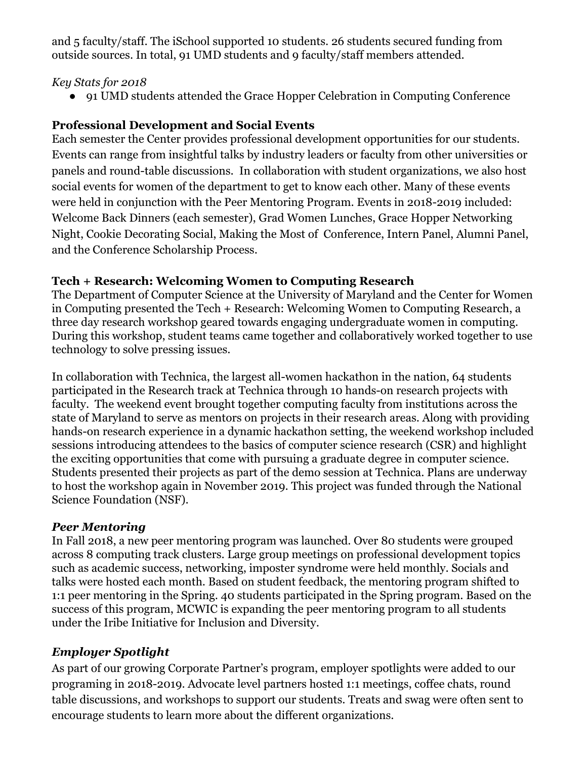and 5 faculty/staff. The iSchool supported 10 students. 26 students secured funding from outside sources. In total, 91 UMD students and 9 faculty/staff members attended.

#### *Key Stats for 2018*

● 91 UMD students attended the Grace Hopper Celebration in Computing Conference

### **Professional Development and Social Events**

Each semester the Center provides professional development opportunities for our students. Events can range from insightful talks by industry leaders or faculty from other universities or panels and round-table discussions. In collaboration with student organizations, we also host social events for women of the department to get to know each other. Many of these events were held in conjunction with the Peer Mentoring Program. Events in 2018-2019 included: Welcome Back Dinners (each semester), Grad Women Lunches, Grace Hopper Networking Night, Cookie Decorating Social, Making the Most of Conference, Intern Panel, Alumni Panel, and the Conference Scholarship Process.

#### **Tech + Research: Welcoming Women to Computing Research**

The Department of Computer Science at the University of Maryland and the Center for Women in Computing presented the Tech + Research: Welcoming Women to Computing Research, a three day research workshop geared towards engaging undergraduate women in computing. During this workshop, student teams came together and collaboratively worked together to use technology to solve pressing issues.

In collaboration with Technica, the largest all-women hackathon in the nation, 64 students participated in the Research track at Technica through 10 hands-on research projects with faculty. The weekend event brought together computing faculty from institutions across the state of Maryland to serve as mentors on projects in their research areas. Along with providing hands-on research experience in a dynamic hackathon setting, the weekend workshop included sessions introducing attendees to the basics of computer science research (CSR) and highlight the exciting opportunities that come with pursuing a graduate degree in computer science. Students presented their projects as part of the demo session at Technica. Plans are underway to host the workshop again in November 2019. This project was funded through the National Science Foundation (NSF).

#### *Peer Mentoring*

In Fall 2018, a new peer mentoring program was launched. Over 80 students were grouped across 8 computing track clusters. Large group meetings on professional development topics such as academic success, networking, imposter syndrome were held monthly. Socials and talks were hosted each month. Based on student feedback, the mentoring program shifted to 1:1 peer mentoring in the Spring. 40 students participated in the Spring program. Based on the success of this program, MCWIC is expanding the peer mentoring program to all students under the Iribe Initiative for Inclusion and Diversity.

## *Employer Spotlight*

As part of our growing Corporate Partner's program, employer spotlights were added to our programing in 2018-2019. Advocate level partners hosted 1:1 meetings, coffee chats, round table discussions, and workshops to support our students. Treats and swag were often sent to encourage students to learn more about the different organizations.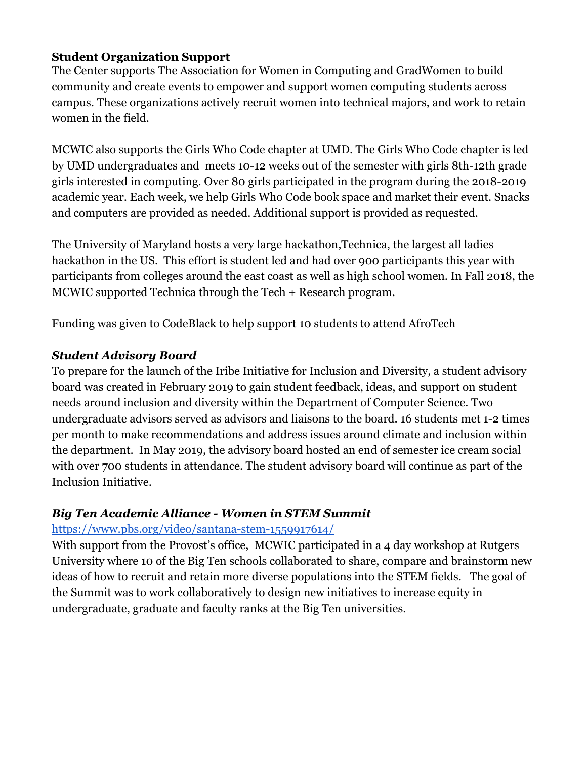#### **Student Organization Support**

The Center supports [The Association for Women in Computing](https://awc-umcp.squarespace.com/) and GradWomen to build community and create events to empower and support women computing students across campus. These organizations actively recruit women into technical majors, and work to retain women in the field.

MCWIC also supports the Girls Who Code chapter at UMD. The Girls Who Code chapter is led by UMD undergraduates and meets 10-12 weeks out of the semester with girls 8th-12th grade girls interested in computing. Over 80 girls participated in the program during the 2018-2019 academic year. Each week, we help Girls Who Code book space and market their event. Snacks and computers are provided as needed. Additional support is provided as requested.

The University of Maryland hosts a very large hackathon,Technica, the largest all ladies hackathon in the US. This effort is student led and had over 900 participants this year with participants from colleges around the east coast as well as high school women. In Fall 2018, the MCWIC supported Technica through the Tech + Research program.

Funding was given to CodeBlack to help support 10 students to attend AfroTech

#### *Student Advisory Board*

To prepare for the launch of the Iribe Initiative for Inclusion and Diversity, a student advisory board was created in February 2019 to gain student feedback, ideas, and support on student needs around inclusion and diversity within the Department of Computer Science. Two undergraduate advisors served as advisors and liaisons to the board. 16 students met 1-2 times per month to make recommendations and address issues around climate and inclusion within the department. In May 2019, the advisory board hosted an end of semester ice cream social with over 700 students in attendance. The student advisory board will continue as part of the Inclusion Initiative.

#### *Big Ten Academic Alliance - Women in STEM Summit*

#### <https://www.pbs.org/video/santana-stem-1559917614/>

With support from the Provost's office, MCWIC participated in a 4 day workshop at Rutgers University where 10 of the Big Ten schools collaborated to share, compare and brainstorm new ideas of how to recruit and retain more diverse populations into the STEM fields. The goal of the Summit was to work collaboratively to design new initiatives to increase equity in undergraduate, graduate and faculty ranks at the Big Ten universities.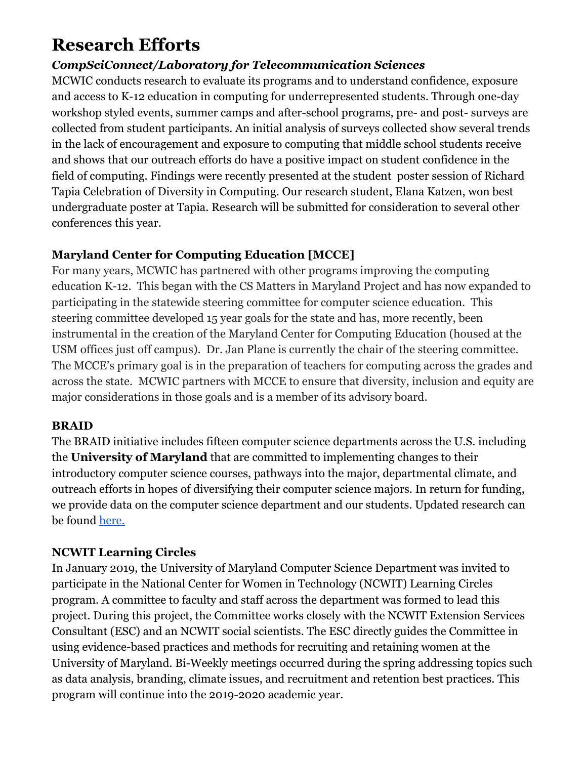# **Research Efforts**

## *CompSciConnect/Laboratory for Telecommunication Sciences*

MCWIC conducts research to evaluate its programs and to understand confidence, exposure and access to K-12 education in computing for underrepresented students. Through one-day workshop styled events, summer camps and after-school programs, pre- and post- surveys are collected from student participants. An initial analysis of surveys collected show several trends in the lack of encouragement and exposure to computing that middle school students receive and shows that our outreach efforts do have a positive impact on student confidence in the field of computing. Findings were recently presented at the student poster session of Richard Tapia Celebration of Diversity in Computing. Our research student, Elana Katzen, won best undergraduate poster at Tapia. Research will be submitted for consideration to several other conferences this year.

## **Maryland Center for Computing Education [MCCE]**

For many years, MCWIC has partnered with other programs improving the computing education K-12. This began with the CS Matters in Maryland Project and has now expanded to participating in the statewide steering committee for computer science education. This steering committee developed 15 year goals for the state and has, more recently, been instrumental in the creation of the Maryland Center for Computing Education (housed at the USM offices just off campus). Dr. Jan Plane is currently the chair of the steering committee. The MCCE's primary goal is in the preparation of teachers for computing across the grades and across the state. MCWIC partners with MCCE to ensure that diversity, inclusion and equity are major considerations in those goals and is a member of its advisory board.

#### **BRAID**

The BRAID initiative includes fifteen computer science departments across the U.S. including the **University of Maryland** that are committed to implementing changes to their introductory computer science courses, pathways into the major, departmental climate, and outreach efforts in hopes of diversifying their computer science majors. In return for funding, we provide data on the computer science department and our students. Updated research can be found [here.](https://braidresearch.gseis.ucla.edu/publications/)

#### **NCWIT Learning Circles**

In January 2019, the University of Maryland Computer Science Department was invited to participate in the National Center for Women in Technology (NCWIT) Learning Circles program. A committee to faculty and staff across the department was formed to lead this project. During this project, the Committee works closely with the NCWIT Extension Services Consultant (ESC) and an NCWIT social scientists. The ESC directly guides the Committee in using evidence-based practices and methods for recruiting and retaining women at the University of Maryland. Bi-Weekly meetings occurred during the spring addressing topics such as data analysis, branding, climate issues, and recruitment and retention best practices. This program will continue into the 2019-2020 academic year.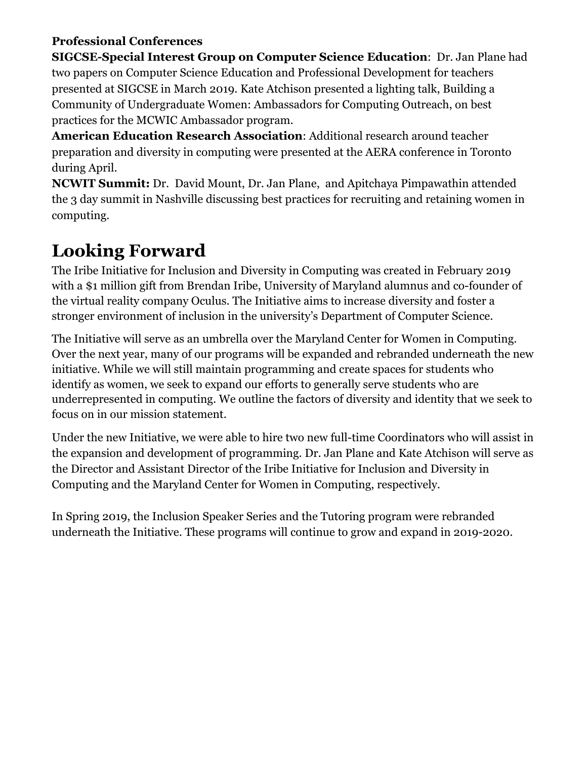## **Professional Conferences**

**SIGCSE-Special Interest Group on Computer Science Education**: Dr. Jan Plane had two papers on Computer Science Education and Professional Development for teachers presented at SIGCSE in March 2019. Kate Atchison presented a lighting talk, Building a Community of Undergraduate Women: Ambassadors for Computing Outreach, on best practices for the MCWIC Ambassador program.

**American Education Research Association**: Additional research around teacher preparation and diversity in computing were presented at the AERA conference in Toronto during April.

**NCWIT Summit:** Dr. David Mount, Dr. Jan Plane, and Apitchaya Pimpawathin attended the 3 day summit in Nashville discussing best practices for recruiting and retaining women in computing.

# **Looking Forward**

The Iribe Initiative for Inclusion and Diversity in Computing was created in February 2019 with a \$1 million gift from Brendan Iribe, University of Maryland alumnus and co-founder of the virtual reality company Oculus. The Initiative aims to increase diversity and foster a stronger environment of inclusion in the university's Department of Computer Science.

The Initiative will serve as an umbrella over the Maryland Center for Women in Computing. Over the next year, many of our programs will be expanded and rebranded underneath the new initiative. While we will still maintain programming and create spaces for students who identify as women, we seek to expand our efforts to generally serve students who are underrepresented in computing. We outline the factors of diversity and identity that we seek to focus on in our mission statement.

Under the new Initiative, we were able to hire two new full-time Coordinators who will assist in the expansion and development of programming. Dr. Jan Plane and Kate Atchison will serve as the Director and Assistant Director of the Iribe Initiative for Inclusion and Diversity in Computing and the Maryland Center for Women in Computing, respectively.

In Spring 2019, the Inclusion Speaker Series and the Tutoring program were rebranded underneath the Initiative. These programs will continue to grow and expand in 2019-2020.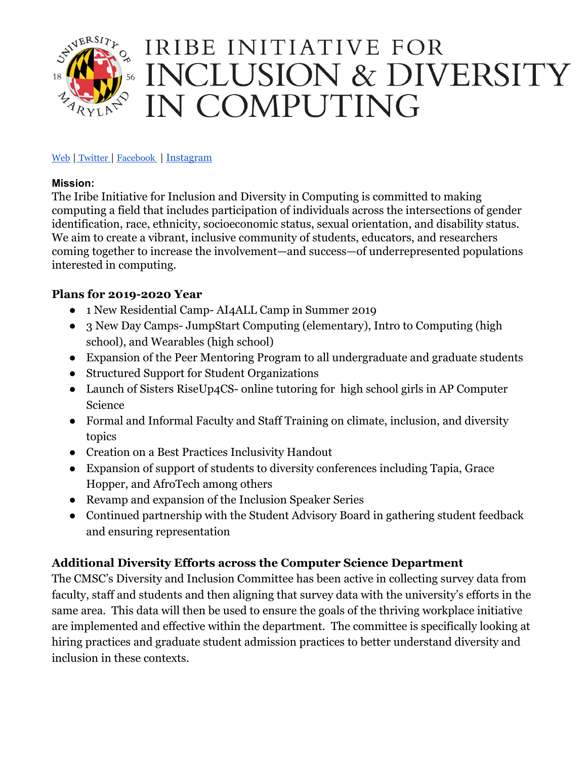

#### [Web](https://mcwic.cs.umd.edu/inclusion) | [Twitter](https://twitter.com/IribeInitiative) | [Facebook](https://www.facebook.com/IribeInitiative/?view_public_for=282898912665400) | [Instagram](https://www.instagram.com/initiative_mcwic/)

#### **Mission:**

The Iribe Initiative for Inclusion and Diversity in Computing is committed to making computing a field that includes participation of individuals across the intersections of gender identification, race, ethnicity, socioeconomic status, sexual orientation, and disability status. We aim to create a vibrant, inclusive community of students, educators, and researchers coming together to increase the involvement—and success—of underrepresented populations interested in computing.

#### **Plans for 2019-2020 Year**

- 1 New Residential Camp- AI4ALL Camp in Summer 2019
- 3 New Day Camps- JumpStart Computing (elementary), Intro to Computing (high school), and Wearables (high school)
- Expansion of the Peer Mentoring Program to all undergraduate and graduate students
- Structured Support for Student Organizations
- Launch of Sisters RiseUp4CS- online tutoring for high school girls in AP Computer Science
- Formal and Informal Faculty and Staff Training on climate, inclusion, and diversity topics
- Creation on a Best Practices Inclusivity Handout
- Expansion of support of students to diversity conferences including Tapia, Grace Hopper, and AfroTech among others
- Revamp and expansion of the Inclusion Speaker Series
- Continued partnership with the Student Advisory Board in gathering student feedback and ensuring representation

#### **Additional Diversity Efforts across the Computer Science Department**

The CMSC's Diversity and Inclusion Committee has been active in collecting survey data from faculty, staff and students and then aligning that survey data with the university's efforts in the same area. This data will then be used to ensure the goals of the thriving workplace initiative are implemented and effective within the department. The committee is specifically looking at hiring practices and graduate student admission practices to better understand diversity and inclusion in these contexts.